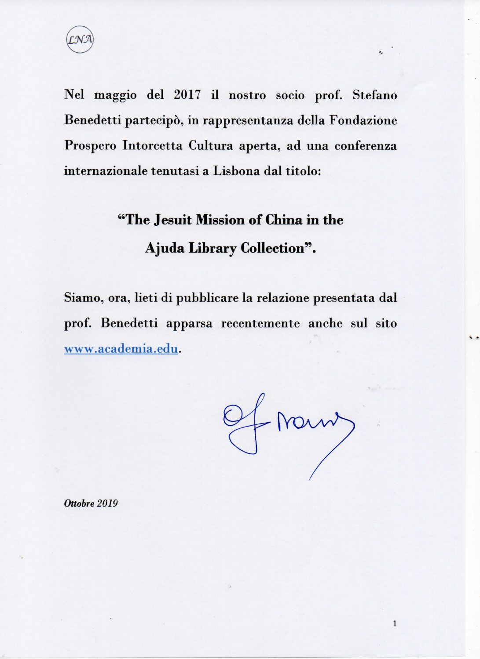

Nel maggio del 2017 il nostro socio prof. Stefano Benedetti partecipò, in rappresentanza della Fondazione Prospero Intorcetta Cultura aperta, ad una conferenza internazionale tenutasi a Lisbona dal titolo:

# "The Jesuit Mission of China in the **Ajuda Library Collection".**

Siamo, ora, lieti di pubblicare la relazione presentata dal prof. Benedetti apparsa recentemente anche sul sito www.academia.edu.

Of Norm)

 $\ddot{\phantom{0}}$ 

 $\mathbf{1}$ 

Ottobre 2019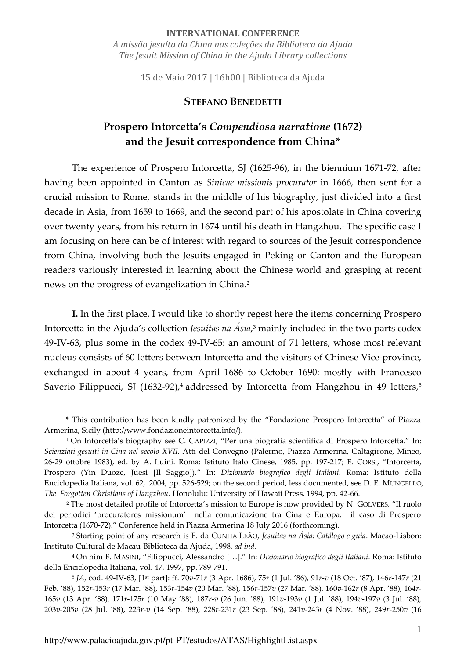#### **INTERNATIONAL CONFERENCE**

*A missão jesuíta da China nas coleções da Biblioteca da Ajuda The Jesuit Mission of China in the Ajuda Library collections* 

15 de Maio 2017 | 16h00 | Biblioteca da Ajuda

#### **STEFANO BENEDETTI**

# **Prospero Intorcetta's** *Compendiosa narratione* **(1672) and the Jesuit correspondence from China\***

The experience of Prospero Intorcetta, SJ (1625-96), in the biennium 1671-72, after having been appointed in Canton as *Sinicae missionis procurator* in 1666, then sent for a crucial mission to Rome, stands in the middle of his biography, just divided into a first decade in Asia, from 1659 to 1669, and the second part of his apostolate in China covering over twenty years, from his return in 1674 until his death in Hangzhou.<sup>1</sup> The specific case I am focusing on here can be of interest with regard to sources of the Jesuit correspondence from China, involving both the Jesuits engaged in Peking or Canton and the European readers variously interested in learning about the Chinese world and grasping at recent news on the progress of evangelization in China.<sup>2</sup>

**I.** In the first place, I would like to shortly regest here the items concerning Prospero Intorcetta in the Ajuda's collection *Jesuítas na Ásia*, 3 mainly included in the two parts codex 49-IV-63, plus some in the codex 49-IV-65: an amount of 71 letters, whose most relevant nucleus consists of 60 letters between Intorcetta and the visitors of Chinese Vice-province, exchanged in about 4 years, from April 1686 to October 1690: mostly with Francesco Saverio Filippucci, SJ (1632-92),<sup>4</sup> addressed by Intorcetta from Hangzhou in 49 letters,<sup>5</sup>

\* This contribution has been kindly patronized by the "Fondazione Prospero Intorcetta" of Piazza Armerina, Sicily (http://www.fondazioneintorcetta.info/).

<sup>1</sup> On Intorcetta's biography see C. CAPIZZI, "Per una biografia scientifica di Prospero Intorcetta." In: *Scienziati gesuiti in Cina nel secolo XVII.* Atti del Convegno (Palermo, Piazza Armerina, Caltagirone, Mineo, 26-29 ottobre 1983), ed. by A. Luini. Roma: Istituto Italo Cinese, 1985, pp. 197-217; E. CORSI, "Intorcetta, Prospero (Yin Duoze, Juesi [Il Saggio])." In: *Dizionario biografico degli Italiani*. Roma: Istituto della Enciclopedia Italiana, vol. 62, 2004, pp. 526-529; on the second period, less documented, see D. E. MUNGELLO, *The Forgotten Christians of Hangzhou*. Honolulu: University of Hawaii Press, 1994, pp. 42-66.

<sup>2</sup> The most detailed profile of Intorcetta's mission to Europe is now provided by N. GOLVERS, "Il ruolo dei periodici 'procuratores missionum' nella comunicazione tra Cina e Europa: il caso di Prospero Intorcetta (1670-72)." Conference held in Piazza Armerina 18 July 2016 (forthcoming).

<sup>3</sup> Starting point of any research is F. da CUNHA LEÃO, *Jesuítas na Ásia: Catálogo e guia*. Macao-Lisbon: Instituto Cultural de Macau-Biblioteca da Ajuda, 1998, *ad ind.*

<sup>4</sup> On him F. MASINI, "Filippucci, Alessandro […]." In: *Dizionario biografico degli Italiani*. Roma: Istituto della Enciclopedia Italiana, vol. 47, 1997, pp. 789-791.

<sup>5</sup> *JA,* cod. 49-IV-63, [1st part]: ff. 70*v*-71*r* (3 Apr. 1686), 75*r* (1 Jul. '86), 91*r*-*v* (18 Oct. '87), 146*r*-147*r* (21 Feb. '88), 152*r*-153*r* (17 Mar. '88), 153*r*-154*v* (20 Mar. '88), 156*r*-157*v* (27 Mar. '88), 160*v*-162*r* (8 Apr. '88), 164*r*-165*v* (13 Apr. '88), 171*r*-175*r* (10 May '88), 187*r*-*v* (26 Jun. '88), 191*v-*193*v* (1 Jul. '88), 194*v*-197*v* (3 Jul. '88), 203*v*-205*v* (28 Jul. '88), 223*r*-*v* (14 Sep. '88), 228*r*-231*r* (23 Sep. '88), 241*v*-243*r* (4 Nov. '88), 249*r*-250*v* (16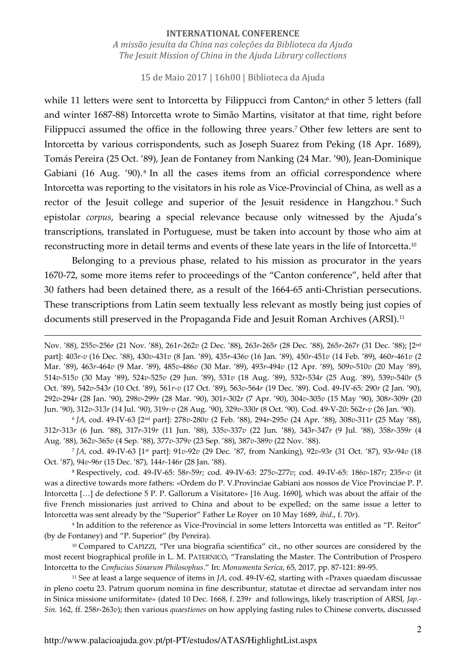15 de Maio 2017 | 16h00 | Biblioteca da Ajuda

while 11 letters were sent to Intorcetta by Filippucci from Canton;<sup>6</sup> in other 5 letters (fall and winter 1687-88) Intorcetta wrote to Simão Martins, visitator at that time, right before Filippucci assumed the office in the following three years.<sup>7</sup> Other few letters are sent to Intorcetta by various corrispondents, such as Joseph Suarez from Peking (18 Apr. 1689), Tomás Pereira (25 Oct. '89), Jean de Fontaney from Nanking (24 Mar. '90), Jean-Dominique Gabiani (16 Aug. '90).<sup>8</sup> In all the cases items from an official correspondence where Intorcetta was reporting to the visitators in his role as Vice-Provincial of China, as well as a rector of the Jesuit college and superior of the Jesuit residence in Hangzhou.<sup>9</sup> Such epistolar *corpus*, bearing a special relevance because only witnessed by the Ajuda's transcriptions, translated in Portuguese, must be taken into account by those who aim at reconstructing more in detail terms and events of these late years in the life of Intorcetta.<sup>10</sup>

Belonging to a previous phase, related to his mission as procurator in the years 1670-72, some more items refer to proceedings of the "Canton conference", held after that 30 fathers had been detained there, as a result of the 1664-65 anti-Christian persecutions. These transcriptions from Latin seem textually less relevant as mostly being just copies of documents still preserved in the Propaganda Fide and Jesuit Roman Archives (ARSI).<sup>11</sup>

6 *JA,* cod. 49-IV-63 [2nd part]: 278*v*-280*v* (2 Feb. '88), 294*r*-295*v* (24 Apr. '88), 308*v*-311*r* (25 May '88), 312*r*-313*r* (6 Jun. '88), 317*r*-319*r* (11 Jun. '88), 335*v*-337*v* (22 Jun. '88), 343*r*-347*r* (9 Jul. '88), 358*r*-359*r* (4 Aug. '88), 362*v*-365*v* (4 Sep. '88), 377*v*-379*v* (23 Sep. '88), 387*v*-389*v* (22 Nov. '88).

7 *JA,* cod. 49-IV-63 [1st part]: 91*v*-92*v* (29 Dec. '87, from Nanking), 92*v*-93*r* (31 Oct. '87), 93*r*-94*v* (18 Oct. '87), 94*v*-96*r* (15 Dec. '87), 144*r*-146*r* (28 Jan. '88).

8 Respectively, cod. 49-IV-65: 58*r*-59*r*; cod. 49-IV-63: 275*v*-277*v*; cod. 49-IV-65: 186*v*-187*r*; 235*r*-*v* (it was a directive towards more fathers: «Ordem do P. V.Provinciae Gabiani aos nossos de Vice Provinciae P. P. Intorcetta […] de defectione 5 P. P. Gallorum a Visitatore» [16 Aug. 1690], which was about the affair of the five French missionaries just arrived to China and about to be expelled; on the same issue a letter to Intorcetta was sent already by the "Superior" Father Le Royer on 10 May 1689, *ibid*., f. 70*r*).

9 In addition to the reference as Vice-Provincial in some letters Intorcetta was entitled as "P. Reitor" (by de Fontaney) and "P. Superior" (by Pereira).

<sup>10</sup> Compared to CAPIZZI, "Per una biografia scientifica" cit., no other sources are considered by the most recent biographical profile in L. M. PATERNICÒ, "Translating the Master. The Contribution of Prospero Intorcetta to the *Confucius Sinarum Philosophus*." In: *Monumenta Serica*, 65, 2017, pp. 87-121: 89-95.

<sup>11</sup> See at least a large sequence of items in *JA*, cod. 49-IV-62, starting with «Praxes quaedam discussae in pleno coetu 23. Patrum quorum nomina in fine describuntur, statutae et directae ad servandam inter nos in Sinica missione uniformitate» (dated 10 Dec. 1668, f. 239*r* and followings, likely trascription of ARSI, *Jap.- Sin.* 162, ff. 258*r*-263*v*); then various *quaestiones* on how applying fasting rules to Chinese converts, discussed

Nov. '88), 255*v*-256*r* (21 Nov. '88), 261*r*-262*v* (2 Dec. '88), 263*r*-265*r* (28 Dec. '88), 265*r*-267*r* (31 Dec. '88); [2nd part]: 403*r*-*v* (16 Dec. '88), 430*v*-431*v* (8 Jan. '89), 435*r*-436*v* (16 Jan. '89), 450*r*-451*v* (14 Feb. '89), 460*r*-461*v* (2 Mar. '89), 463*r*-464*v* (9 Mar. '89), 485*v*-486*v* (30 Mar. '89), 493*r*-494*v* (12 Apr. '89), 509*v*-510*v* (20 May '89), 514*v*-515*v* (30 May '89), 524*v*-525*v* (29 Jun. '89), 531*v* (18 Aug. '89), 532*r*-534*r* (25 Aug. '89), 539*v*-540*r* (5 Oct. '89), 542*v*-543*r* (10 Oct. '89), 561*r*-*v* (17 Oct. '89), 563*v*-564*r* (19 Dec. '89). Cod. 49-IV-65: 290*r* (2 Jan. '90), 292*v*-294*r* (28 Jan. '90), 298*v*-299*r* (28 Mar. '90), 301*r*-302*r* (7 Apr. '90), 304*v*-305*v* (15 May '90), 308*r*-309*r* (20 Jun. '90), 312*v*-313*r* (14 Jul. '90), 319*r-v* (28 Aug. '90), 329*v*-330*r* (8 Oct. '90). Cod. 49-V-20: 562*r*-*v* (26 Jan. '90).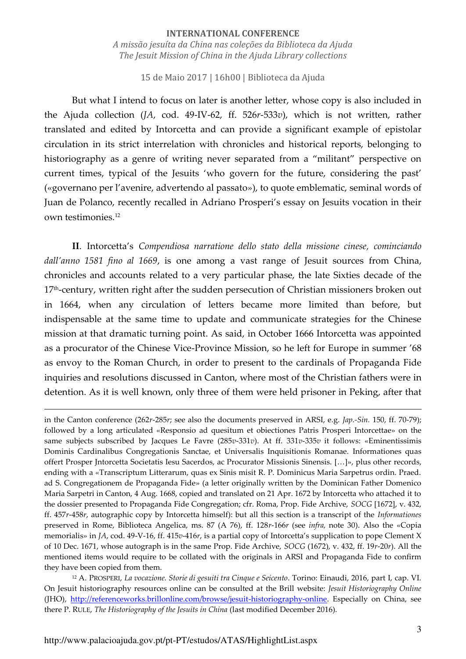15 de Maio 2017 | 16h00 | Biblioteca da Ajuda

But what I intend to focus on later is another letter, whose copy is also included in the Ajuda collection (*JA*, cod. 49-IV-62, ff. 526*r*-533*v*), which is not written, rather translated and edited by Intorcetta and can provide a significant example of epistolar circulation in its strict interrelation with chronicles and historical reports, belonging to historiography as a genre of writing never separated from a "militant" perspective on current times, typical of the Jesuits 'who govern for the future, considering the past' («governano per l'avenire, advertendo al passato»), to quote emblematic, seminal words of Juan de Polanco, recently recalled in Adriano Prosperi's essay on Jesuits vocation in their own testimonies.<sup>12</sup>

**II**. Intorcetta's *Compendiosa narratione dello stato della missione cinese, cominciando dall'anno 1581 fino al 1669*, is one among a vast range of Jesuit sources from China, chronicles and accounts related to a very particular phase, the late Sixties decade of the 17<sup>th</sup>-century, written right after the sudden persecution of Christian missioners broken out in 1664, when any circulation of letters became more limited than before, but indispensable at the same time to update and communicate strategies for the Chinese mission at that dramatic turning point. As said, in October 1666 Intorcetta was appointed as a procurator of the Chinese Vice-Province Mission, so he left for Europe in summer '68 as envoy to the Roman Church, in order to present to the cardinals of Propaganda Fide inquiries and resolutions discussed in Canton, where most of the Christian fathers were in detention. As it is well known, only three of them were held prisoner in Peking, after that

in the Canton conference (262*r*-285*r*; see also the documents preserved in ARSI, e.g. *Jap.-Sin.* 150, ff. 70-79); followed by a long articulated «Responsio ad quesitum et obiectiones Patris Prosperi Intorcettae» on the same subjects subscribed by Jacques Le Favre (285*v*-331*v*). At ff. 331*v*-335*v* it follows: «Eminentissimis Dominis Cardinalibus Congregationis Sanctae, et Universalis Inquisitionis Romanae. Informationes quas offert Prosper Jntorcetta Societatis Iesu Sacerdos, ac Procurator Missionis Sinensis. […]», plus other records, ending with a «Transcriptum Litterarum, quas ex Sinis misit R. P. Dominicus Maria Sarpetrus ordin. Praed. ad S. Congregationem de Propaganda Fide» (a letter originally written by the Dominican Father Domenico Maria Sarpetri in Canton, 4 Aug. 1668, copied and translated on 21 Apr. 1672 by Intorcetta who attached it to the dossier presented to Propaganda Fide Congregation; cfr. Roma, Prop. Fide Archive, *SOCG* [1672], v. 432, ff. 457*r*-458*r*, autographic copy by Intorcetta himself): but all this section is a transcript of the *Informationes*  preserved in Rome, Biblioteca Angelica, ms. 87 (A 76), ff. 128*r*-166*r* (see *infra,* note 30). Also the «Copia memorialis» in *JA*, cod. 49-V-16, ff. 415*v*-416*r*, is a partial copy of Intorcetta's supplication to pope Clement X of 10 Dec. 1671, whose autograph is in the same Prop. Fide Archive, *SOCG* (1672), v. 432, ff. 19*r*-20*r*). All the mentioned items would require to be collated with the originals in ARSI and Propaganda Fide to confirm they have been copied from them.

<sup>12</sup> A. PROSPERI, *La vocazione. Storie di gesuiti tra Cinque e Seicento*. Torino: Einaudi, 2016, part I, cap. VI. On Jesuit historiography resources online can be consulted at the Brill website: *Jesuit Historiography Online* (JHO), [http://referenceworks.brillonline.com/browse/jesuit-historiography-online.](http://referenceworks.brillonline.com/browse/jesuit-historiography-online) Especially on China, see there P. RULE, *The Historiography of the Jesuits in China* (last modified December 2016).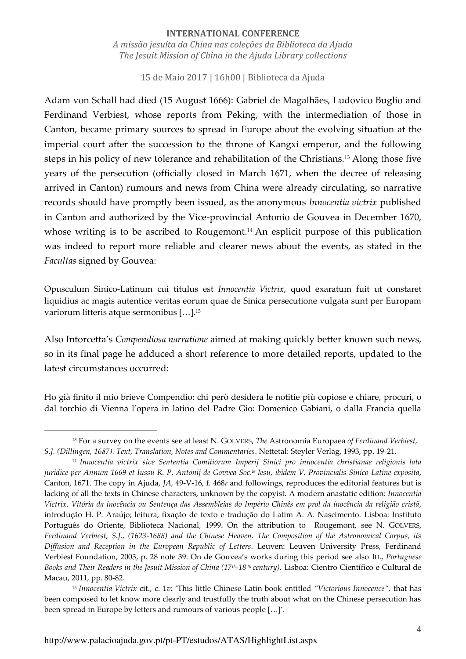15 de Maio 2017 | 16h00 | Biblioteca da Ajuda

Adam von Schall had died (15 August 1666): Gabriel de Magalhães, Ludovico Buglio and Ferdinand Verbiest, whose reports from Peking, with the intermediation of those in Canton, became primary sources to spread in Europe about the evolving situation at the imperial court after the succession to the throne of Kangxi emperor, and the following steps in his policy of new tolerance and rehabilitation of the Christians.13 Along those five years of the persecution (officially closed in March 1671, when the decree of releasing arrived in Canton) rumours and news from China were already circulating, so narrative records should have promptly been issued, as the anonymous *Innocentia victrix* published in Canton and authorized by the Vice-provincial Antonio de Gouvea in December 1670, whose writing is to be ascribed to Rougemont.<sup>14</sup> An esplicit purpose of this publication was indeed to report more reliable and clearer news about the events, as stated in the *Facultas* signed by Gouvea:

Opusculum Sinico-Latinum cui titulus est *Innocentia Victrix*, quod exaratum fuit ut constaret liquidius ac magis autentice veritas eorum quae de Sinica persecutione vulgata sunt per Europam variorum litteris atque sermonibus […].<sup>15</sup>

Also Intorcetta's *Compendiosa narratione* aimed at making quickly better known such news, so in its final page he adduced a short reference to more detailed reports, updated to the latest circumstances occurred:

Ho già finito il mio brieve Compendio: chi però desidera le notitie più copiose e chiare, procuri, o dal torchio di Vienna l'opera in latino del Padre Gio: Domenico Gabiani, o dalla Francia quella

<sup>13</sup> For a survey on the events see at least N. GOLVERS, *The* Astronomia Europaea *of Ferdinand Verbiest, S.J. (Dillingen, 1687). Text, Translation, Notes and Commentaries*. Nettetal: Steyler Verlag, 1993, pp. 19-21.

<sup>14</sup> *Innocentia victrix sive Sententia Comitiorum Imperij Sinici pro innocentia christianae religionis lata juridice per Annum 1669 et Iussu R. P. Antonij de Govvea Soc. is Iesu, ibidem V. Provincialis Sinico-Latine exposita*, Canton, 1671. The copy in Ajuda, *JA*, 49-V-16, f. 468*r* and followings, reproduces the editorial features but is lacking of all the texts in Chinese characters, unknown by the copyist. A modern anastatic edition: *Innocentia Victrix*. *Vitória da inocência ou Sentença das Assembleias do Império Chinês em prol da inocência da religião cristã*, introdução H. P. Araújo; leitura, fixação de texto e tradução do Latim A. A. Nascimento. Lisboa: Instituto Português do Oriente, Biblioteca Nacional, 1999. On the attribution to Rougemont, see N. GOLVERS, *Ferdinand Verbiest, S.J., (1623-1688) and the Chinese Heaven. The Composition of the Astronomical Corpus, its Diffusion and Reception in the European Republic of Letters*. Leuven: Leuven University Press, Ferdinand Verbiest Foundation, 2003, p. 28 note 39. On de Gouvea's works during this period see also ID., *Portuguese Books and Their Readers in the Jesuit Mission of China (17th-18 th century)*. Lisboa: Cientro Científico e Cultural de Macau, 2011, pp. 80-82.

<sup>15</sup> *Innocentia Victrix* cit., c. 1*v*: 'This little Chinese-Latin book entitled *"Victorious Innocence"*, that has been composed to let know more clearly and trustfully the truth about what on the Chinese persecution has been spread in Europe by letters and rumours of various people […]'.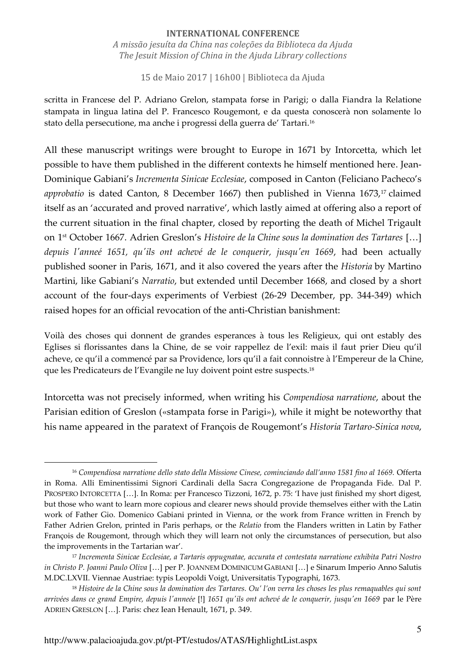#### **INTERNATIONAL CONFERENCE**

*A missão jesuíta da China nas coleções da Biblioteca da Ajuda The Jesuit Mission of China in the Ajuda Library collections* 

15 de Maio 2017 | 16h00 | Biblioteca da Ajuda

scritta in Francese del P. Adriano Grelon, stampata forse in Parigi; o dalla Fiandra la Relatione stampata in lingua latina del P. Francesco Rougemont, e da questa conoscerà non solamente lo stato della persecutione, ma anche i progressi della guerra de' Tartari.<sup>16</sup>

All these manuscript writings were brought to Europe in 1671 by Intorcetta, which let possible to have them published in the different contexts he himself mentioned here. Jean-Dominique Gabiani's *Incrementa Sinicae Ecclesiae*, composed in Canton (Feliciano Pacheco's *approbatio* is dated Canton, 8 December 1667) then published in Vienna 1673,<sup>17</sup> claimed itself as an 'accurated and proved narrative', which lastly aimed at offering also a report of the current situation in the final chapter, closed by reporting the death of Michel Trigault on 1st October 1667. Adrien Greslon's *Histoire de la Chine sous la domination des Tartares* […] *depuis l'anneé 1651, qu'ils ont achevé de le conquerir, jusqu'en 1669*, had been actually published sooner in Paris, 1671, and it also covered the years after the *Historia* by Martino Martini, like Gabiani's *Narratio*, but extended until December 1668, and closed by a short account of the four-days experiments of Verbiest (26-29 December, pp. 344-349) which raised hopes for an official revocation of the anti-Christian banishment:

Voilà des choses qui donnent de grandes esperances à tous les Religieux, qui ont estably des Eglises si florissantes dans la Chine, de se voir rappellez de l'exil: mais il faut prier Dieu qu'il acheve, ce qu'il a commencé par sa Providence, lors qu'il a fait connoistre à l'Empereur de la Chine, que les Predicateurs de l'Evangile ne luy doivent point estre suspects.<sup>18</sup>

Intorcetta was not precisely informed, when writing his *Compendiosa narratione*, about the Parisian edition of Greslon («stampata forse in Parigi»), while it might be noteworthy that his name appeared in the paratext of François de Rougemont's *Historia Tartaro-Sinica nova*,

<sup>16</sup> *Compendiosa narratione dello stato della Missione Cinese, cominciando dall'anno 1581 fino al 1669.* Offerta in Roma. Alli Eminentissimi Signori Cardinali della Sacra Congregazione de Propaganda Fide. Dal P. PROSPERO INTORCETTA […]. In Roma: per Francesco Tizzoni, 1672, p. 75: 'I have just finished my short digest, but those who want to learn more copious and clearer news should provide themselves either with the Latin work of Father Gio. Domenico Gabiani printed in Vienna, or the work from France written in French by Father Adrien Grelon, printed in Paris perhaps, or the *Relatio* from the Flanders written in Latin by Father François de Rougemont, through which they will learn not only the circumstances of persecution, but also the improvements in the Tartarian war'.

<sup>17</sup> *Incrementa Sinicae Ecclesiae, a Tartaris oppugnatae, accurata et contestata narratione exhibita Patri Nostro in Christo P. Joanni Paulo Oliva* […] per P. JOANNEM DOMINICUM GABIANI […] e Sinarum Imperio Anno Salutis M.DC.LXVII. Viennae Austriae: typis Leopoldi Voigt, Universitatis Typographi, 1673.

<sup>18</sup> *Histoire de la Chine sous la domination des Tartares. Ou' l'on verra les choses les plus remaquables qui sont arrivées dans ce grand Empire, depuis l'anneée* [!] *1651 qu'ils ont achevé de le conquerir, jusqu'en 1669* par le Père ADRIEN GRESLON […]. Paris: chez Iean Henault, 1671, p. 349.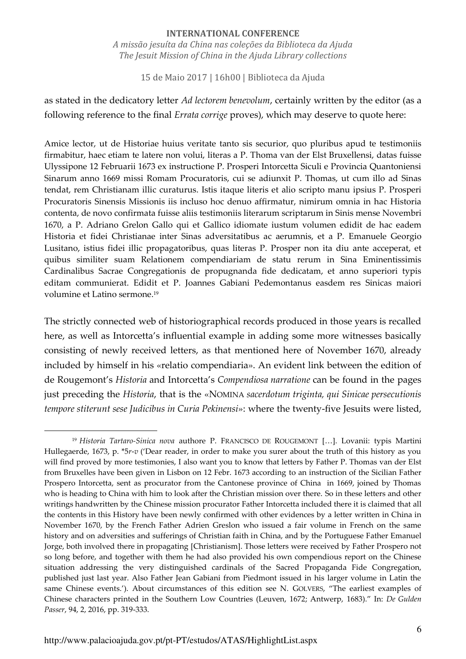15 de Maio 2017 | 16h00 | Biblioteca da Ajuda

as stated in the dedicatory letter *Ad lectorem benevolum*, certainly written by the editor (as a following reference to the final *Errata corrige* proves), which may deserve to quote here:

Amice lector, ut de Historiae huius veritate tanto sis securior, quo pluribus apud te testimoniis firmabitur, haec etiam te latere non volui, literas a P. Thoma van der Elst Bruxellensi, datas fuisse Ulyssipone 12 Februarii 1673 ex instructione P. Prosperi Intorcetta Siculi e Provincia Quantoniensi Sinarum anno 1669 missi Romam Procuratoris, cui se adiunxit P. Thomas, ut cum illo ad Sinas tendat, rem Christianam illic curaturus. Istis itaque literis et alio scripto manu ipsius P. Prosperi Procuratoris Sinensis Missionis iis incluso hoc denuo affirmatur, nimirum omnia in hac Historia contenta, de novo confirmata fuisse aliis testimoniis literarum scriptarum in Sinis mense Novembri 1670, a P. Adriano Grelon Gallo qui et Gallico idiomate iustum volumen edidit de hac eadem Historia et fidei Christianae inter Sinas adversitatibus ac aerumnis, et a P. Emanuele Georgio Lusitano, istius fidei illic propagatoribus, quas literas P. Prosper non ita diu ante acceperat, et quibus similiter suam Relationem compendiariam de statu rerum in Sina Eminentissimis Cardinalibus Sacrae Congregationis de propugnanda fide dedicatam, et anno superiori typis editam communierat. Edidit et P. Joannes Gabiani Pedemontanus easdem res Sinicas maiori volumine et Latino sermone.<sup>19</sup>

The strictly connected web of historiographical records produced in those years is recalled here, as well as Intorcetta's influential example in adding some more witnesses basically consisting of newly received letters, as that mentioned here of November 1670, already included by himself in his «relatio compendiaria». An evident link between the edition of de Rougemont's *Historia* and Intorcetta's *Compendiosa narratione* can be found in the pages just preceding the *Historia*, that is the «NOMINA *sacerdotum triginta, qui Sinicae persecutionis tempore stiterunt sese Judicibus in Curia Pekinensi*»: where the twenty-five Jesuits were listed,

<sup>19</sup> *Historia Tartaro-Sinica nova* authore P. FRANCISCO DE ROUGEMONT […]. Lovanii: typis Martini Hullegaerde, 1673, p. \*5*r*-*v* ('Dear reader, in order to make you surer about the truth of this history as you will find proved by more testimonies, I also want you to know that letters by Father P. Thomas van der Elst from Bruxelles have been given in Lisbon on 12 Febr. 1673 according to an instruction of the Sicilian Father Prospero Intorcetta, sent as procurator from the Cantonese province of China in 1669, joined by Thomas who is heading to China with him to look after the Christian mission over there. So in these letters and other writings handwritten by the Chinese mission procurator Father Intorcetta included there it is claimed that all the contents in this History have been newly confirmed with other evidences by a letter written in China in November 1670, by the French Father Adrien Greslon who issued a fair volume in French on the same history and on adversities and sufferings of Christian faith in China, and by the Portuguese Father Emanuel Jorge, both involved there in propagating [Christianism]. Those letters were received by Father Prospero not so long before, and together with them he had also provided his own compendious report on the Chinese situation addressing the very distinguished cardinals of the Sacred Propaganda Fide Congregation, published just last year. Also Father Jean Gabiani from Piedmont issued in his larger volume in Latin the same Chinese events.'). About circumstances of this edition see N. GOLVERS, "The earliest examples of Chinese characters printed in the Southern Low Countries (Leuven, 1672; Antwerp, 1683)." In: *De Gulden Passer*, 94, 2, 2016, pp. 319-333.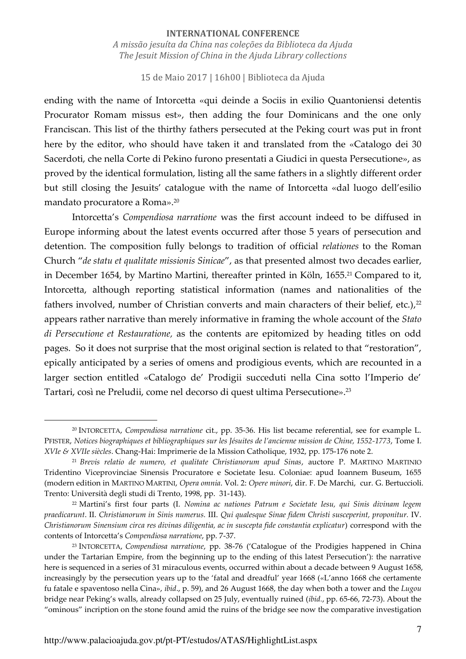15 de Maio 2017 | 16h00 | Biblioteca da Ajuda

ending with the name of Intorcetta «qui deinde a Sociis in exilio Quantoniensi detentis Procurator Romam missus est», then adding the four Dominicans and the one only Franciscan. This list of the thirthy fathers persecuted at the Peking court was put in front here by the editor, who should have taken it and translated from the «Catalogo dei 30 Sacerdoti, che nella Corte di Pekino furono presentati a Giudici in questa Persecutione», as proved by the identical formulation, listing all the same fathers in a slightly different order but still closing the Jesuits' catalogue with the name of Intorcetta «dal luogo dell'esilio mandato procuratore a Roma».<sup>20</sup>

Intorcetta's *Compendiosa narratione* was the first account indeed to be diffused in Europe informing about the latest events occurred after those 5 years of persecution and detention. The composition fully belongs to tradition of official *relationes* to the Roman Church "*de statu et qualitate missionis Sinicae*", as that presented almost two decades earlier, in December 1654, by Martino Martini, thereafter printed in Köln, 1655.<sup>21</sup> Compared to it, Intorcetta, although reporting statistical information (names and nationalities of the fathers involved, number of Christian converts and main characters of their belief, etc.), $^{22}$ appears rather narrative than merely informative in framing the whole account of the *Stato di Persecutione et Restauratione,* as the contents are epitomized by heading titles on odd pages. So it does not surprise that the most original section is related to that "restoration", epically anticipated by a series of omens and prodigious events, which are recounted in a larger section entitled «Catalogo de' Prodigii succeduti nella Cina sotto l'Imperio de' Tartari, così ne Preludii, come nel decorso di quest ultima Persecutione».<sup>23</sup>

<sup>20</sup> INTORCETTA, *Compendiosa narratione* cit., pp. 35-36. His list became referential, see for example L. PFISTER, *Notices biographiques et bibliographiques sur les Jésuites de l'ancienne mission de Chine, 1552-1773*, Tome I. *XVIe & XVIIe siècles*. Chang-Hai: Imprimerie de la Mission Catholique, 1932, pp. 175-176 note 2.

<sup>21</sup> *Brevis relatio de numero, et qualitate Christianorum apud Sinas*, auctore P. MARTINO MARTINIO Tridentino Viceprovinciae Sinensis Procuratore e Societate Iesu. Coloniae: apud Ioannem Buseum, 1655 (modern edition in MARTINO MARTINI, *Opera omnia*. Vol. 2: *Opere minori*, dir. F. De Marchi, cur. G. Bertuccioli. Trento: Università degli studi di Trento, 1998, pp. 31-143).

<sup>22</sup> Martini's first four parts (I. *Nomina ac nationes Patrum e Societate Iesu, qui Sinis divinam legem praedicarunt*. II. *Christianorum in Sinis numerus.* III. *Qui qualesque Sinae fidem Christi susceperint, proponitur.* IV. *Christianorum Sinensium circa res divinas diligentia, ac in suscepta fide constantia explicatur*) correspond with the contents of Intorcetta's *Compendiosa narratione*, pp. 7-37.

<sup>23</sup> INTORCETTA, *Compendiosa narratione*, pp. 38-76 ('Catalogue of the Prodigies happened in China under the Tartarian Empire, from the beginning up to the ending of this latest Persecution'): the narrative here is sequenced in a series of 31 miraculous events, occurred within about a decade between 9 August 1658, increasingly by the persecution years up to the 'fatal and dreadful' year 1668 («L'anno 1668 che certamente fu fatale e spaventoso nella Cina», *ibid*., p. 59), and 26 August 1668, the day when both a tower and the *Lugou*  bridge near Peking's walls, already collapsed on 25 July, eventually ruined (*ibid.*, pp. 65-66, 72-73). About the "ominous" incription on the stone found amid the ruins of the bridge see now the comparative investigation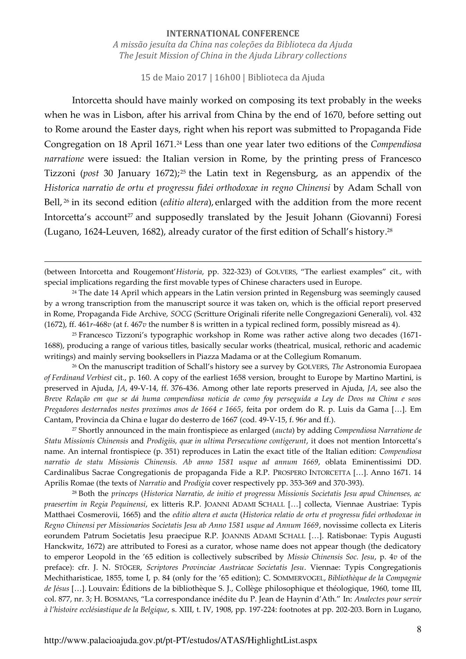15 de Maio 2017 | 16h00 | Biblioteca da Ajuda

Intorcetta should have mainly worked on composing its text probably in the weeks when he was in Lisbon, after his arrival from China by the end of 1670, before setting out to Rome around the Easter days, right when his report was submitted to Propaganda Fide Congregation on 18 April 1671.24 Less than one year later two editions of the *Compendiosa narratione* were issued: the Italian version in Rome, by the printing press of Francesco Tizzoni (*post* 30 January 1672);<sup>25</sup> the Latin text in Regensburg, as an appendix of the *Historica narratio de ortu et progressu fidei orthodoxae in regno Chinensi* by Adam Schall von Bell, 26 in its second edition (*editio altera*), enlarged with the addition from the more recent Intorcetta's account<sup>27</sup> and supposedly translated by the Jesuit Johann (Giovanni) Foresi (Lugano, 1624-Leuven, 1682), already curator of the first edition of Schall's history. 28

(between Intorcetta and Rougemont'*Historia*, pp. 322-323) of GOLVERS, "The earliest examples" cit., with special implications regarding the first movable types of Chinese characters used in Europe.

<u>.</u>

<sup>25</sup> Francesco Tizzoni's typographic workshop in Rome was rather active along two decades (1671- 1688), producing a range of various titles, basically secular works (theatrical, musical, rethoric and academic writings) and mainly serving booksellers in Piazza Madama or at the Collegium Romanum.

<sup>26</sup> On the manuscript tradition of Schall's history see a survey by GOLVERS, *The* Astronomia Europaea *of Ferdinand Verbiest* cit., p. 160. A copy of the earliest 1658 version, brought to Europe by Martino Martini, is preserved in Ajuda, *JA*, 49-V-14, ff. 376-436. Among other late reports preserved in Ajuda, *JA*, see also the *Breve Relação em que se dá huma compendiosa noticia de como foy perseguida a Ley de Deos na China e seos Pregadores desterrados nestes proximos anos de 1664 e 1665*, feita por ordem do R. p. Luis da Gama […]. Em Cantam, Provincia da China e lugar do desterro de 1667 (cod. 49-V-15, f. 96*r* and ff.).

<sup>27</sup> Shortly announced in the main frontispiece as enlarged (*aucta*) by adding *Compendiosa Narratione de Statu Missionis Chinensis* and *Prodigiis, quæ in ultima Persecutione contigerunt*, it does not mention Intorcetta's name. An internal frontispiece (p. 351) reproduces in Latin the exact title of the Italian edition: *Compendiosa narratio de statu Missionis Chinensis. Ab anno 1581 usque ad annum 1669*, oblata Eminentissimi DD. Cardinalibus Sacrae Congregationis de propaganda Fide a R.P. PROSPERO INTORCETTA […]. Anno 1671. 14 Aprilis Romae (the texts of *Narratio* and *Prodigia* cover respectively pp. 353-369 and 370-393).

<sup>28</sup> Both the *princeps* (*Historica Narratio, de initio et progressu Missionis Societatis Jesu apud Chinenses, ac praesertim in Regia Pequinensi*, ex litteris R.P. JOANNI ADAMI SCHALL […] collecta, Viennae Austriae: Typis Matthaei Cosmerovii, 1665) and the *editio altera et aucta* (*Historica relatio de ortu et progressu fidei orthodoxae in Regno Chinensi per Missionarios Societatis Jesu ab Anno 1581 usque ad Annum 1669*, novissime collecta ex Literis eorundem Patrum Societatis Jesu praecipue R.P. JOANNIS ADAMI SCHALL […]. Ratisbonae: Typis Augusti Hanckwitz, 1672) are attributed to Foresi as a curator, whose name does not appear though (the dedicatory to emperor Leopold in the '65 edition is collectively subscribed by *Missio Chinensis Soc. Jesu*, p. 4*v* of the preface): cfr. J. N. STÖGER, *Scriptores Provinciae Austriacae Societatis Jesu*. Viennae: Typis Congregationis Mechitharisticae, 1855, tome I, p. 84 (only for the '65 edition); C. SOMMERVOGEL, *Bibliothèque de la Compagnie de Jésus* […]. Louvain: Éditions de la bibliothèque S. J., Collège philosophique et théologique, 1960, tome III, col. 877, nr. 3; H. BOSMANS, "La correspondance inédite du P. Jean de Haynin d'Ath." In: *Analectes pour servir à l'histoire ecclésiastique de la Belgique*, s. XIII, t. IV, 1908, pp. 197-224: footnotes at pp. 202-203. Born in Lugano,

<sup>&</sup>lt;sup>24</sup> The date 14 April which appears in the Latin version printed in Regensburg was seemingly caused by a wrong transcription from the manuscript source it was taken on, which is the official report preserved in Rome, Propaganda Fide Archive, *SOCG* (Scritture Originali riferite nelle Congregazioni Generali), vol. 432 (1672), ff. 461*r*-468*v* (at f. 467*v* the number 8 is written in a typical reclined form, possibly misread as 4).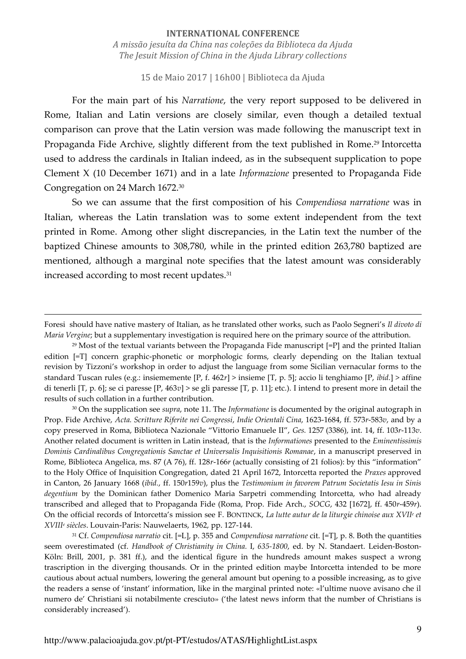15 de Maio 2017 | 16h00 | Biblioteca da Ajuda

For the main part of his *Narratione*, the very report supposed to be delivered in Rome, Italian and Latin versions are closely similar, even though a detailed textual comparison can prove that the Latin version was made following the manuscript text in Propaganda Fide Archive, slightly different from the text published in Rome.<sup>29</sup> Intorcetta used to address the cardinals in Italian indeed, as in the subsequent supplication to pope Clement X (10 December 1671) and in a late *Informazione* presented to Propaganda Fide Congregation on 24 March 1672.<sup>30</sup>

So we can assume that the first composition of his *Compendiosa narratione* was in Italian, whereas the Latin translation was to some extent independent from the text printed in Rome. Among other slight discrepancies, in the Latin text the number of the baptized Chinese amounts to 308,780, while in the printed edition 263,780 baptized are mentioned, although a marginal note specifies that the latest amount was considerably increased according to most recent updates.<sup>31</sup>

-

<sup>30</sup> On the supplication see *supra*, note 11. The *Informatione* is documented by the original autograph in Prop. Fide Archive, *Acta. Scritture Riferite nei Congressi*, *Indie Orientali Cina*, 1623-1684, ff. 573*r*-583*v*, and by a copy preserved in Roma, Biblioteca Nazionale "Vittorio Emanuele II", *Ges.* 1257 (3386), int. 14, ff. 103*r*-113*v*. Another related document is written in Latin instead, that is the *Informationes* presented to the *Eminentissimis Dominis Cardinalibus Congregationis Sanctae et Universalis Inquisitionis Romanae*, in a manuscript preserved in Rome, Biblioteca Angelica, ms. 87 (A 76), ff. 128*r*-166*r* (actually consisting of 21 folios): by this "information" to the Holy Office of Inquisition Congregation, dated 21 April 1672, Intorcetta reported the *Praxes* approved in Canton, 26 January 1668 (*ibid.*, ff. 150*r*159*v*), plus the *Testimonium in favorem Patrum Societatis Iesu in Sinis degentium* by the Dominican father Domenico Maria Sarpetri commending Intorcetta, who had already transcribed and alleged that to Propaganda Fide (Roma, Prop. Fide Arch., *SOCG*, 432 [1672], ff. 450*r*-459*r*). On the official records of Intorcetta's mission see F. BONTINCK, *La lutte autur de la liturgie chinoise aux XVII<sup>e</sup> et XVIII<sup>e</sup> siècles*. Louvain-Paris: Nauwelaerts, 1962, pp. 127-144.

<sup>31</sup> Cf. *Compendiosa narratio* cit. [=L], p. 355 and *Compendiosa narratione* cit. [=T], p. 8. Both the quantities seem overestimated (cf. *Handbook of Christianity in China.* I, *635-1800*, ed. by N. Standaert. Leiden-Boston-Köln: Brill, 2001, p. 381 ff.), and the identical figure in the hundreds amount makes suspect a wrong trascription in the diverging thousands. Or in the printed edition maybe Intorcetta intended to be more cautious about actual numbers, lowering the general amount but opening to a possible increasing, as to give the readers a sense of 'instant' information, like in the marginal printed note: «l'ultime nuove avisano che il numero de' Christiani sii notabilmente cresciuto» ('the latest news inform that the number of Christians is considerably increased').

Foresi should have native mastery of Italian, as he translated other works, such as Paolo Segneri's *Il divoto di Maria Vergine*; but a supplementary investigation is required here on the primary source of the attribution.

 $29$  Most of the textual variants between the Propaganda Fide manuscript  $[=P]$  and the printed Italian edition [=T] concern graphic-phonetic or morphologic forms, clearly depending on the Italian textual revision by Tizzoni's workshop in order to adjust the language from some Sicilian vernacular forms to the standard Tuscan rules (e.g.: insiememente [P, f. 462*r*] > insieme [T, p. 5]; accio li tenghiamo [P, *ibid.*] > affine di tenerli [T, p. 6]; se ci paresse [P, 463*v*] > se gli paresse [T, p. 11]; etc.). I intend to present more in detail the results of such collation in a further contribution.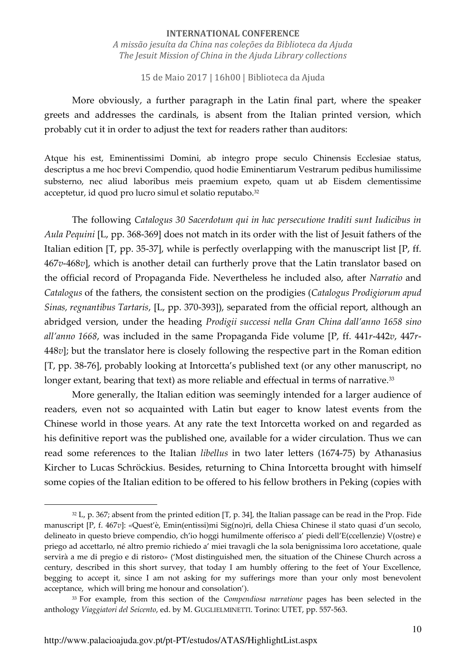15 de Maio 2017 | 16h00 | Biblioteca da Ajuda

More obviously, a further paragraph in the Latin final part, where the speaker greets and addresses the cardinals, is absent from the Italian printed version, which probably cut it in order to adjust the text for readers rather than auditors:

Atque his est, Eminentissimi Domini, ab integro prope seculo Chinensis Ecclesiae status, descriptus a me hoc brevi Compendio, quod hodie Eminentiarum Vestrarum pedibus humilissime substerno, nec aliud laboribus meis praemium expeto, quam ut ab Eisdem clementissime acceptetur, id quod pro lucro simul et solatio reputabo.<sup>32</sup>

The following *Catalogus 30 Sacerdotum qui in hac persecutione traditi sunt Iudicibus in Aula Pequini* [L, pp. 368-369] does not match in its order with the list of Jesuit fathers of the Italian edition [T, pp. 35-37], while is perfectly overlapping with the manuscript list [P, ff. 467*v*-468*v*], which is another detail can furtherly prove that the Latin translator based on the official record of Propaganda Fide. Nevertheless he included also, after *Narratio* and *Catalogus* of the fathers, the consistent section on the prodigies (*Catalogus Prodigiorum apud Sinas, regnantibus Tartaris*, [L, pp. 370-393]), separated from the official report, although an abridged version, under the heading *Prodigii successi nella Gran China dall'anno 1658 sino all'anno 1668*, was included in the same Propaganda Fide volume [P, ff. 441*r*-442*v*, 447*r*-448*v*]; but the translator here is closely following the respective part in the Roman edition [T, pp. 38-76], probably looking at Intorcetta's published text (or any other manuscript, no longer extant, bearing that text) as more reliable and effectual in terms of narrative.<sup>33</sup>

More generally, the Italian edition was seemingly intended for a larger audience of readers, even not so acquainted with Latin but eager to know latest events from the Chinese world in those years. At any rate the text Intorcetta worked on and regarded as his definitive report was the published one, available for a wider circulation. Thus we can read some references to the Italian *libellus* in two later letters (1674-75) by Athanasius Kircher to Lucas Schröckius. Besides, returning to China Intorcetta brought with himself some copies of the Italian edition to be offered to his fellow brothers in Peking (copies with

 $32$  L, p. 367; absent from the printed edition [T, p. 34], the Italian passage can be read in the Prop. Fide manuscript [P, f. 467*v*]: «Quest'è, Emin(entissi)mi Sig(no)ri, della Chiesa Chinese il stato quasi d'un secolo, delineato in questo brieve compendio, ch'io hoggi humilmente offerisco a' piedi dell'E(ccellenzie) V(ostre) e priego ad accettarlo, né altro premio richiedo a' miei travagli che la sola benignissima loro accetatione, quale servirà a me di pregio e di ristoro» ('Most distinguished men, the situation of the Chinese Church across a century, described in this short survey, that today I am humbly offering to the feet of Your Excellence, begging to accept it, since I am not asking for my sufferings more than your only most benevolent acceptance, which will bring me honour and consolation').

<sup>33</sup> For example, from this section of the *Compendiosa narratione* pages has been selected in the anthology *Viaggiatori del Seicento*, ed. by M. GUGLIELMINETTI. Torino: UTET, pp. 557-563.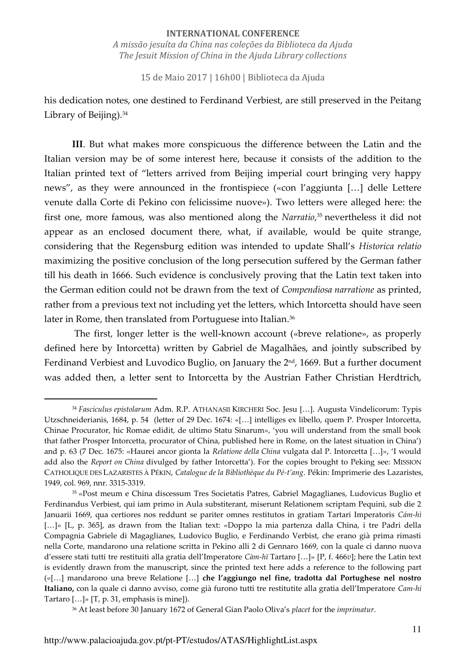15 de Maio 2017 | 16h00 | Biblioteca da Ajuda

his dedication notes, one destined to Ferdinand Verbiest, are still preserved in the Peitang Library of Beijing).<sup>34</sup>

**III**. But what makes more conspicuous the difference between the Latin and the Italian version may be of some interest here, because it consists of the addition to the Italian printed text of "letters arrived from Beijing imperial court bringing very happy news", as they were announced in the frontispiece («con l'aggiunta […] delle Lettere venute dalla Corte di Pekino con felicissime nuove»). Two letters were alleged here: the first one, more famous, was also mentioned along the *Narratio*, <sup>35</sup> nevertheless it did not appear as an enclosed document there, what, if available, would be quite strange, considering that the Regensburg edition was intended to update Shall's *Historica relatio*  maximizing the positive conclusion of the long persecution suffered by the German father till his death in 1666. Such evidence is conclusively proving that the Latin text taken into the German edition could not be drawn from the text of *Compendiosa narratione* as printed, rather from a previous text not including yet the letters, which Intorcetta should have seen later in Rome, then translated from Portuguese into Italian.<sup>36</sup>

 The first, longer letter is the well-known account («breve relatione», as properly defined here by Intorcetta) written by Gabriel de Magalhães, and jointly subscribed by Ferdinand Verbiest and Luvodico Buglio, on January the  $2<sup>nd</sup>$ , 1669. But a further document was added then, a letter sent to Intorcetta by the Austrian Father Christian Herdtrich,

<sup>36</sup> At least before 30 January 1672 of General Gian Paolo Oliva's *placet* for the *imprimatur*.

<sup>34</sup> *Fasciculus epistolarum* Adm. R.P. ATHANASII KIRCHERI Soc. Jesu […]. Augusta Vindelicorum: Typis Utzschneiderianis, 1684, p. 54 (letter of 29 Dec. 1674: «[…] intelliges ex libello, quem P. Prosper Intorcetta, Chinae Procurator, hic Romae edidit, de ultimo Statu Sinarum», 'you will understand from the small book that father Prosper Intorcetta, procurator of China, published here in Rome, on the latest situation in China') and p. 63 (7 Dec. 1675: «Haurei ancor gionta la *Relatione della China* vulgata dal P. Intorcetta […]», 'I would add also the *Report on China* divulged by father Intorcetta'). For the copies brought to Peking see: MISSION CATHOLIQUE DES LAZARISTES À PÉKIN, *Catalogue de la Bibliothèque du Pé-t'ang*. Pékin: Imprimerie des Lazaristes, 1949, col. 969, nnr. 3315-3319.

<sup>35</sup> «Post meum e China discessum Tres Societatis Patres, Gabriel Magaglianes, Ludovicus Buglio et Ferdinandus Verbiest, qui iam primo in Aula substiterant, miserunt Relationem scriptam Pequini, sub die 2 Januarii 1669, qua certiores nos reddunt se pariter omnes restitutos in gratiam Tartari Imperatoris *Cám-hì* [...]» [L, p. 365], as drawn from the Italian text: «Doppo la mia partenza dalla China, i tre Padri della Compagnia Gabriele di Magaglianes, Ludovico Buglio, e Ferdinando Verbist, che erano già prima rimasti nella Corte, mandarono una relatione scritta in Pekino alli 2 di Gennaro 1669, con la quale ci danno nuova d'essere stati tutti tre restituiti alla gratia dell'Imperatore *Càm-hī* Tartaro […]» [P, f. 466*v*]; here the Latin text is evidently drawn from the manuscript, since the printed text here adds a reference to the following part («[…] mandarono una breve Relatione […] **che l'aggiungo nel fine, tradotta dal Portughese nel nostro Italiano,** con la quale ci danno avviso, come già furono tutti tre restitutite alla gratia dell'Imperatore *Cam-hi*  Tartaro  $[...]$ »  $[T, p. 31,$  emphasis is mine]).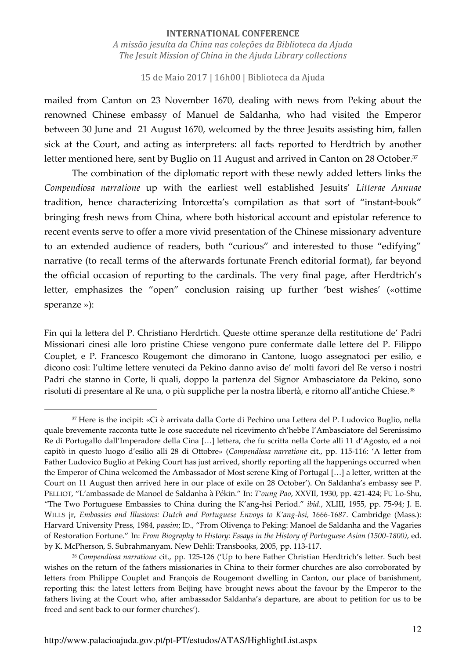#### 15 de Maio 2017 | 16h00 | Biblioteca da Ajuda

mailed from Canton on 23 November 1670, dealing with news from Peking about the renowned Chinese embassy of Manuel de Saldanha, who had visited the Emperor between 30 June and 21 August 1670, welcomed by the three Jesuits assisting him, fallen sick at the Court, and acting as interpreters: all facts reported to Herdtrich by another letter mentioned here, sent by Buglio on 11 August and arrived in Canton on 28 October.<sup>37</sup>

The combination of the diplomatic report with these newly added letters links the *Compendiosa narratione* up with the earliest well established Jesuits' *Litterae Annuae*  tradition, hence characterizing Intorcetta's compilation as that sort of "instant-book" bringing fresh news from China, where both historical account and epistolar reference to recent events serve to offer a more vivid presentation of the Chinese missionary adventure to an extended audience of readers, both "curious" and interested to those "edifying" narrative (to recall terms of the afterwards fortunate French editorial format), far beyond the official occasion of reporting to the cardinals. The very final page, after Herdtrich's letter, emphasizes the "open" conclusion raising up further 'best wishes' («ottime speranze »):

Fin qui la lettera del P. Christiano Herdrtich. Queste ottime speranze della restitutione de' Padri Missionari cinesi alle loro pristine Chiese vengono pure confermate dalle lettere del P. Filippo Couplet, e P. Francesco Rougemont che dimorano in Cantone, luogo assegnatoci per esilio, e dicono così: l'ultime lettere venuteci da Pekino danno aviso de' molti favori del Re verso i nostri Padri che stanno in Corte, li quali, doppo la partenza del Signor Ambasciatore da Pekino, sono risoluti di presentare al Re una, o più suppliche per la nostra libertà, e ritorno all'antiche Chiese.<sup>38</sup>

<sup>37</sup> Here is the incipit: «Ci è arrivata dalla Corte di Pechino una Lettera del P. Ludovico Buglio, nella quale brevemente racconta tutte le cose succedute nel ricevimento ch'hebbe l'Ambasciatore del Serenissimo Re di Portugallo dall'Imperadore della Cina […] lettera, che fu scritta nella Corte alli 11 d'Agosto, ed a noi capitò in questo luogo d'esilio alli 28 di Ottobre» (*Compendiosa narratione* cit., pp. 115-116: 'A letter from Father Ludovico Buglio at Peking Court has just arrived, shortly reporting all the happenings occurred when the Emperor of China welcomed the Ambassador of Most serene King of Portugal […] a letter, written at the Court on 11 August then arrived here in our place of exile on 28 October'). On Saldanha's embassy see P. PELLIOT, "L'ambassade de Manoel de Saldanha à Pékin." In: *T'oung Pao*, XXVII, 1930, pp. 421-424; FU Lo-Shu, "The Two Portuguese Embassies to China during the K'ang-hsi Period." *ibid.*, XLIII, 1955, pp. 75-94; J. E. WILLS jr, *Embassies and Illusions: Dutch and Portuguese Envoys to K'ang-hsi, 1666-1687*. Cambridge (Mass.): Harvard University Press, 1984, *passim*; ID., "From Olivença to Peking: Manoel de Saldanha and the Vagaries of Restoration Fortune." In: *From Biography to History: Essays in the History of Portuguese Asian (1500-1800)*, ed. by K. McPherson, S. Subrahmanyam. New Dehli: Transbooks, 2005, pp. 113-117.

<sup>38</sup> *Compendiosa narratione* cit., pp. 125-126 ('Up to here Father Christian Herdtrich's letter. Such best wishes on the return of the fathers missionaries in China to their former churches are also corroborated by letters from Philippe Couplet and François de Rougemont dwelling in Canton, our place of banishment, reporting this: the latest letters from Beijing have brought news about the favour by the Emperor to the fathers living at the Court who, after ambassador Saldanha's departure, are about to petition for us to be freed and sent back to our former churches').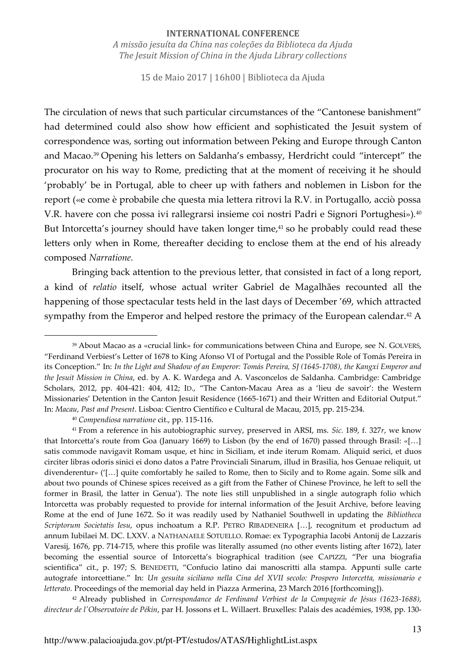#### **INTERNATIONAL CONFERENCE**

*A missão jesuíta da China nas coleções da Biblioteca da Ajuda The Jesuit Mission of China in the Ajuda Library collections* 

15 de Maio 2017 | 16h00 | Biblioteca da Ajuda

The circulation of news that such particular circumstances of the "Cantonese banishment" had determined could also show how efficient and sophisticated the Jesuit system of correspondence was, sorting out information between Peking and Europe through Canton and Macao.<sup>39</sup> Opening his letters on Saldanha's embassy, Herdricht could "intercept" the procurator on his way to Rome, predicting that at the moment of receiving it he should 'probably' be in Portugal, able to cheer up with fathers and noblemen in Lisbon for the report («e come è probabile che questa mia lettera ritrovi la R.V. in Portugallo, acciò possa V.R. havere con che possa ivi rallegrarsi insieme coi nostri Padri e Signori Portughesi»)*.* 40 But Intorcetta's journey should have taken longer time, $41$  so he probably could read these letters only when in Rome, thereafter deciding to enclose them at the end of his already composed *Narratione.* 

Bringing back attention to the previous letter, that consisted in fact of a long report, a kind of *relatio* itself, whose actual writer Gabriel de Magalhães recounted all the happening of those spectacular tests held in the last days of December '69, which attracted sympathy from the Emperor and helped restore the primacy of the European calendar.<sup>42</sup> A

<sup>39</sup> About Macao as a «crucial link» for communications between China and Europe, see N. GOLVERS, "Ferdinand Verbiest's Letter of 1678 to King Afonso VI of Portugal and the Possible Role of Tomás Pereira in its Conception." In: *In the Light and Shadow of an Emperor: Tomás Pereira, SJ (1645-1708), the Kangxi Emperor and the Jesuit Mission in China*, ed. by A. K. Wardega and A. Vasconcelos de Saldanha. Cambridge: Cambridge Scholars, 2012, pp. 404-421: 404, 412; ID., "The Canton-Macau Area as a 'lieu de savoir': the Western Missionaries' Detention in the Canton Jesuit Residence (1665-1671) and their Written and Editorial Output." In: *Macau, Past and Present*. Lisboa: Cientro Científico e Cultural de Macau, 2015, pp. 215-234.

<sup>40</sup> *Compendiosa narratione* cit., pp. 115-116.

<sup>41</sup> From a reference in his autobiographic survey, preserved in ARSI, ms. *Sic.* 189, f. 327*r*, we know that Intorcetta's route from Goa (January 1669) to Lisbon (by the end of 1670) passed through Brasil: «[…] satis commode navigavit Romam usque, et hinc in Siciliam, et inde iterum Romam. Aliquid serici, et duos circiter libras odoris sinici ei dono datos a Patre Provinciali Sinarum, illud in Brasilia, hos Genuae reliquit, ut divenderentur» ('[…] quite comfortably he sailed to Rome, then to Sicily and to Rome again. Some silk and about two pounds of Chinese spices received as a gift from the Father of Chinese Province, he left to sell the former in Brasil, the latter in Genua'). The note lies still unpublished in a single autograph folio which Intorcetta was probably requested to provide for internal information of the Jesuit Archive, before leaving Rome at the end of June 1672. So it was readily used by Nathaniel Southwell in updating the *Bibliotheca Scriptorum Societatis Iesu*, opus inchoatum a R.P. PETRO RIBADENEIRA […], recognitum et productum ad annum Iubilaei M. DC. LXXV. a NATHANAELE SOTUELLO. Romae: ex Typographia Iacobi Antonij de Lazzaris Varesij, 1676, pp. 714-715, where this profile was literally assumed (no other events listing after 1672), later becoming the essential source of Intorcetta's biographical tradition (see CAPIZZI, "Per una biografia scientifica" cit., p. 197; S. BENEDETTI, "Confucio latino dai manoscritti alla stampa. Appunti sulle carte autografe intorcettiane." In: *Un gesuita siciliano nella Cina del XVII secolo: Prospero Intorcetta, missionario e letterato.* Proceedings of the memorial day held in Piazza Armerina, 23 March 2016 [forthcoming]).

<sup>42</sup> Already published in *Correspondance de Ferdinand Verbiest de la Compagnie de Jésus (1623-1688), directeur de l'Observatoire de Pékin*, par H. Jossons et L. Willaert. Bruxelles: Palais des académies, 1938, pp. 130-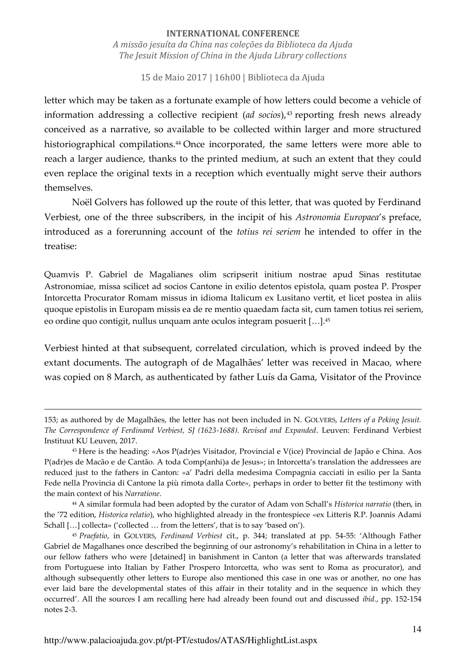15 de Maio 2017 | 16h00 | Biblioteca da Ajuda

letter which may be taken as a fortunate example of how letters could become a vehicle of information addressing a collective recipient (*ad socios*),<sup>43</sup> reporting fresh news already conceived as a narrative, so available to be collected within larger and more structured historiographical compilations.<sup>44</sup> Once incorporated, the same letters were more able to reach a larger audience, thanks to the printed medium, at such an extent that they could even replace the original texts in a reception which eventually might serve their authors themselves.

Noël Golvers has followed up the route of this letter, that was quoted by Ferdinand Verbiest, one of the three subscribers, in the incipit of his *Astronomia Europaea*'s preface, introduced as a forerunning account of the *totius rei seriem* he intended to offer in the treatise:

Quamvis P. Gabriel de Magalianes olim scripserit initium nostrae apud Sinas restitutae Astronomiae, missa scilicet ad socios Cantone in exilio detentos epistola, quam postea P. Prosper Intorcetta Procurator Romam missus in idioma Italicum ex Lusitano vertit, et licet postea in aliis quoque epistolis in Europam missis ea de re mentio quaedam facta sit, cum tamen totius rei seriem, eo ordine quo contigit, nullus unquam ante oculos integram posuerit […]. 45

Verbiest hinted at that subsequent, correlated circulation, which is proved indeed by the extant documents. The autograph of de Magalhães' letter was received in Macao, where was copied on 8 March, as authenticated by father Luís da Gama, Visitator of the Province

<sup>153;</sup> as authored by de Magalhães, the letter has not been included in N. GOLVERS, *Letters of a Peking Jesuit. The Correspondence of Ferdinand Verbiest, SJ (1623-1688). Revised and Expanded*. Leuven: Ferdinand Verbiest Instituut KU Leuven, 2017.

<sup>43</sup> Here is the heading: «Aos P(adr)es Visitador, Provincial e V(ice) Provincial de Japão e China. Aos P(adr)es de Macão e de Cantão. A toda Comp(anhi)a de Jesus»; in Intorcetta's translation the addressees are reduced just to the fathers in Canton: «a' Padri della medesima Compagnia cacciati in esilio per la Santa Fede nella Provincia di Cantone la più rimota dalla Corte», perhaps in order to better fit the testimony with the main context of his *Narratione*.

<sup>44</sup> A similar formula had been adopted by the curator of Adam von Schall's *Historica narratio* (then, in the '72 edition, *Historica relatio*), who highlighted already in the frontespiece «ex Litteris R.P. Joannis Adami Schall [...] collecta» ('collected ... from the letters', that is to say 'based on').

<sup>45</sup> *Praefatio*, in GOLVERS, *Ferdinand Verbiest* cit., p. 344; translated at pp. 54-55: 'Although Father Gabriel de Magalhanes once described the beginning of our astronomy's rehabilitation in China in a letter to our fellow fathers who were [detained] in banishment in Canton (a letter that was afterwards translated from Portuguese into Italian by Father Prospero Intorcetta, who was sent to Roma as procurator), and although subsequently other letters to Europe also mentioned this case in one was or another, no one has ever laid bare the developmental states of this affair in their totality and in the sequence in which they occurred'. All the sources I am recalling here had already been found out and discussed *ibid.*, pp. 152-154 notes 2-3.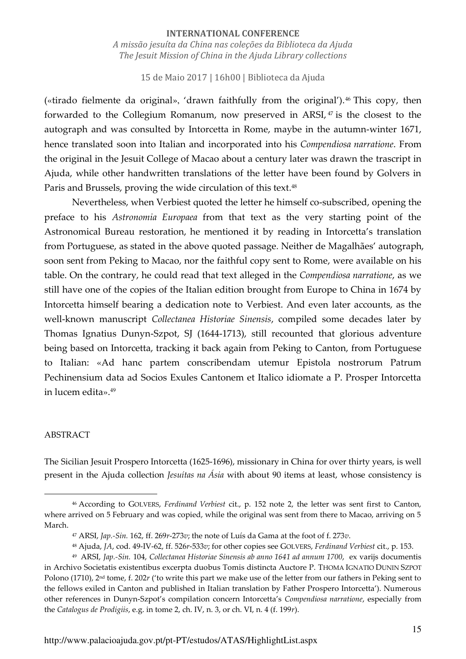15 de Maio 2017 | 16h00 | Biblioteca da Ajuda

(«tirado fielmente da original», 'drawn faithfully from the original'). <sup>46</sup> This copy, then forwarded to the Collegium Romanum, now preserved in ARSI, 47 is the closest to the autograph and was consulted by Intorcetta in Rome, maybe in the autumn-winter 1671, hence translated soon into Italian and incorporated into his *Compendiosa narratione*. From the original in the Jesuit College of Macao about a century later was drawn the trascript in Ajuda, while other handwritten translations of the letter have been found by Golvers in Paris and Brussels, proving the wide circulation of this text.<sup>48</sup>

Nevertheless, when Verbiest quoted the letter he himself co-subscribed, opening the preface to his *Astronomia Europaea* from that text as the very starting point of the Astronomical Bureau restoration, he mentioned it by reading in Intorcetta's translation from Portuguese, as stated in the above quoted passage*.* Neither de Magalhães' autograph, soon sent from Peking to Macao, nor the faithful copy sent to Rome, were available on his table. On the contrary, he could read that text alleged in the *Compendiosa narratione*, as we still have one of the copies of the Italian edition brought from Europe to China in 1674 by Intorcetta himself bearing a dedication note to Verbiest. And even later accounts, as the well-known manuscript *Collectanea Historiae Sinensis*, compiled some decades later by Thomas Ignatius Dunyn-Szpot, SJ (1644-1713), still recounted that glorious adventure being based on Intorcetta, tracking it back again from Peking to Canton, from Portuguese to Italian: «Ad hanc partem conscribendam utemur Epistola nostrorum Patrum Pechinensium data ad Socios Exules Cantonem et Italico idiomate a P. Prosper Intorcetta in lucem edita».<sup>49</sup>

#### ABSTRACT

<u>.</u>

The Sicilian Jesuit Prospero Intorcetta (1625-1696), missionary in China for over thirty years, is well present in the Ajuda collection *Jesuítas na Ásia* with about 90 items at least, whose consistency is

<sup>46</sup> According to GOLVERS, *Ferdinand Verbiest* cit., p. 152 note 2, the letter was sent first to Canton, where arrived on 5 February and was copied, while the original was sent from there to Macao, arriving on 5 March.

<sup>47</sup> ARSI, *Jap.-Sin.* 162, ff. 269*r*-273*v*; the note of Luís da Gama at the foot of f. 273*v*.

<sup>48</sup> Ajuda, *JA*, cod. 49-IV-62, ff. 526*r*-533*v*; for other copies see GOLVERS, *Ferdinand Verbiest* cit., p. 153.

<sup>49</sup> ARSI, *Jap.-Sin.* 104, *Collectanea Historiae Sinensis ab anno 1641 ad annum 1700*, ex varijs documentis in Archivo Societatis existentibus excerpta duobus Tomis distincta Auctore P. THOMA IGNATIO DUNIN SZPOT Polono (1710), 2nd tome, f. 202*r* ('to write this part we make use of the letter from our fathers in Peking sent to the fellows exiled in Canton and published in Italian translation by Father Prospero Intorcetta'). Numerous other references in Dunyn-Szpot's compilation concern Intorcetta's *Compendiosa narratione*, especially from the *Catalogus de Prodigiis*, e.g. in tome 2, ch. IV, n. 3, or ch. VI, n. 4 (f. 199*r*).